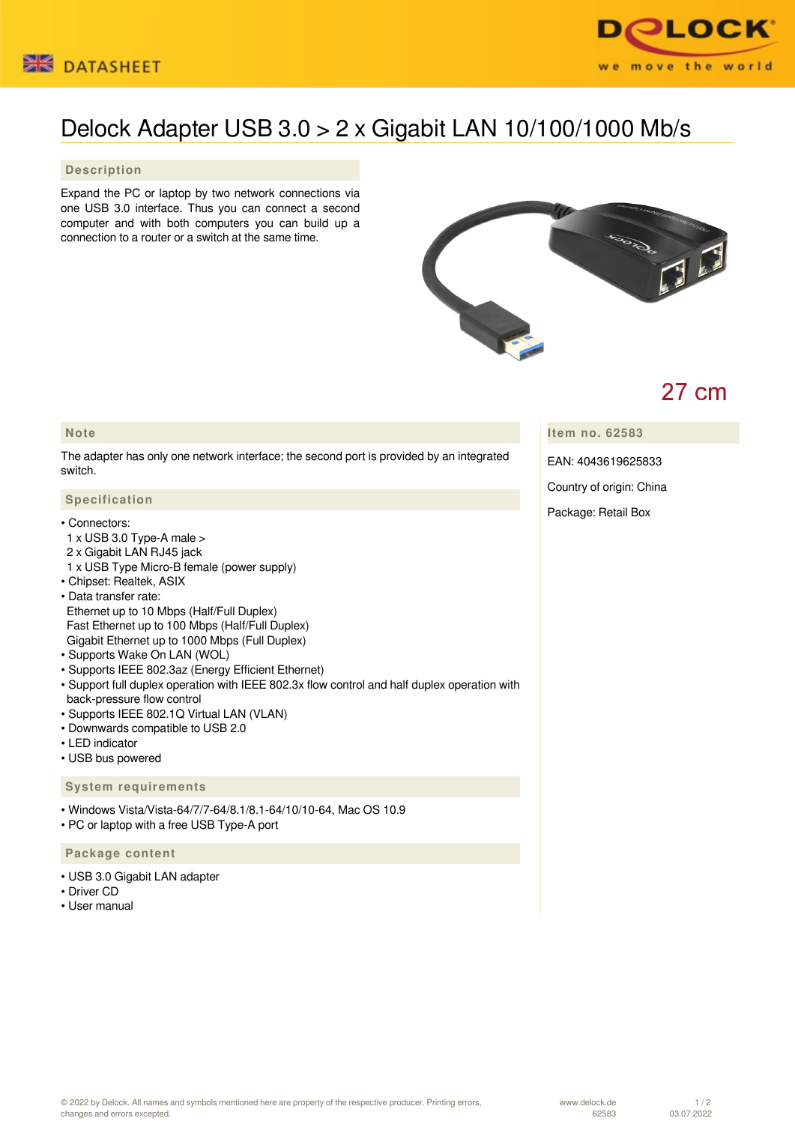



# Delock Adapter USB 3.0 > 2 x Gigabit LAN 10/100/1000 Mb/s

### **Description**

Expand the PC or laptop by two network connections via one USB 3.0 interface. Thus you can connect a second computer and with both computers you can build up a connection to a router or a switch at the same time.



# $27 \text{ cm}$

## **Note**

The adapter has only one network interface; the second port is provided by an integrated switch.

### **Specification**

#### • Connectors:

- 1 x USB 3.0 Type-A male >
- 2 x Gigabit LAN RJ45 jack
- 1 x USB Type Micro-B female (power supply)
- Chipset: Realtek, ASIX
- Data transfer rate: Ethernet up to 10 Mbps (Half/Full Duplex)
- Fast Ethernet up to 100 Mbps (Half/Full Duplex)
- Gigabit Ethernet up to 1000 Mbps (Full Duplex)
- Supports Wake On LAN (WOL)
- Supports IEEE 802.3az (Energy Efficient Ethernet)
- Support full duplex operation with IEEE 802.3x flow control and half duplex operation with back-pressure flow control
- Supports IEEE 802.1Q Virtual LAN (VLAN)
- Downwards compatible to USB 2.0
- LED indicator
- USB bus powered

#### **System requirements**

• Windows Vista/Vista-64/7/7-64/8.1/8.1-64/10/10-64, Mac OS 10.9

• PC or laptop with a free USB Type-A port

#### **Package content**

- USB 3.0 Gigabit LAN adapter
- Driver CD
- User manual

**Item no. 62583**

EAN: 4043619625833

Country of origin: China

Package: Retail Box